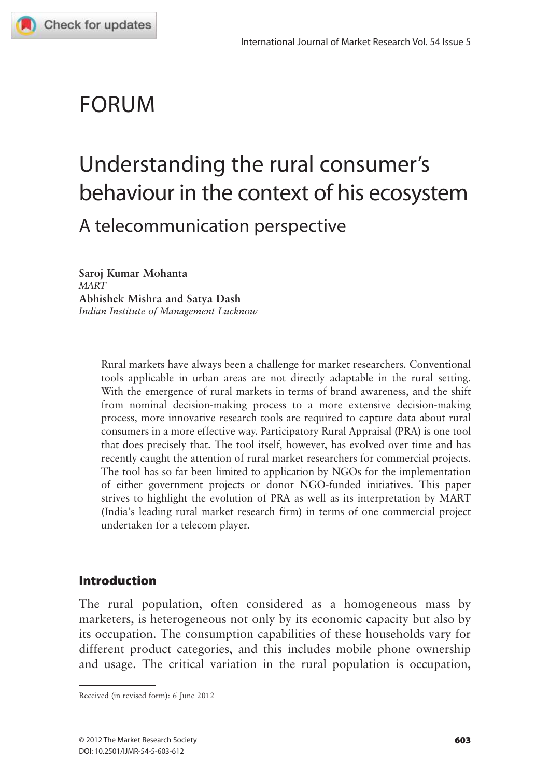

# FORUM

# Understanding the rural consumer's behaviour in the context of his ecosystem A telecommunication perspective

**Saroj Kumar Mohanta** *MART* **Abhishek Mishra and Satya Dash** *Indian Institute of Management Lucknow*

> Rural markets have always been a challenge for market researchers. Conventional tools applicable in urban areas are not directly adaptable in the rural setting. With the emergence of rural markets in terms of brand awareness, and the shift from nominal decision-making process to a more extensive decision-making process, more innovative research tools are required to capture data about rural consumers in a more effective way. Participatory Rural Appraisal (PRA) is one tool that does precisely that. The tool itself, however, has evolved over time and has recently caught the attention of rural market researchers for commercial projects. The tool has so far been limited to application by NGOs for the implementation of either government projects or donor NGO-funded initiatives. This paper strives to highlight the evolution of PRA as well as its interpretation by MART (India's leading rural market research firm) in terms of one commercial project undertaken for a telecom player.

# Introduction

The rural population, often considered as a homogeneous mass by marketers, is heterogeneous not only by its economic capacity but also by its occupation. The consumption capabilities of these households vary for different product categories, and this includes mobile phone ownership and usage. The critical variation in the rural population is occupation,

Received (in revised form): 6 June 2012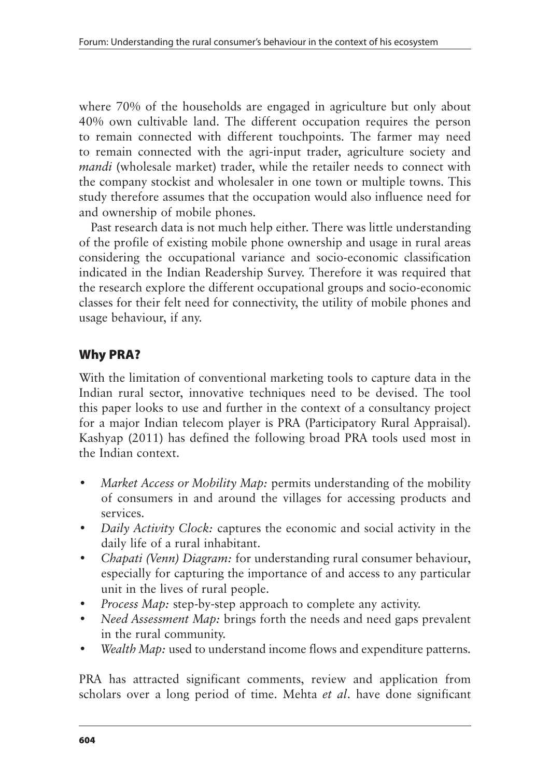where 70% of the households are engaged in agriculture but only about 40% own cultivable land. The different occupation requires the person to remain connected with different touchpoints. The farmer may need to remain connected with the agri-input trader, agriculture society and *mandi* (wholesale market) trader, while the retailer needs to connect with the company stockist and wholesaler in one town or multiple towns. This study therefore assumes that the occupation would also influence need for and ownership of mobile phones.

Past research data is not much help either. There was little understanding of the profile of existing mobile phone ownership and usage in rural areas considering the occupational variance and socio-economic classification indicated in the Indian Readership Survey. Therefore it was required that the research explore the different occupational groups and socio-economic classes for their felt need for connectivity, the utility of mobile phones and usage behaviour, if any.

# Why PRA?

With the limitation of conventional marketing tools to capture data in the Indian rural sector, innovative techniques need to be devised. The tool this paper looks to use and further in the context of a consultancy project for a major Indian telecom player is PRA (Participatory Rural Appraisal). Kashyap (2011) has defined the following broad PRA tools used most in the Indian context.

- *Market Access or Mobility Map:* permits understanding of the mobility of consumers in and around the villages for accessing products and services.
- *Daily Activity Clock:* captures the economic and social activity in the daily life of a rural inhabitant.
- • *Chapati (Venn) Diagram:* for understanding rural consumer behaviour, especially for capturing the importance of and access to any particular unit in the lives of rural people.
- *Process Map:* step-by-step approach to complete any activity.
- *Need Assessment Map:* brings forth the needs and need gaps prevalent in the rural community.
- *Wealth Map:* used to understand income flows and expenditure patterns.

PRA has attracted significant comments, review and application from scholars over a long period of time. Mehta *et al*. have done significant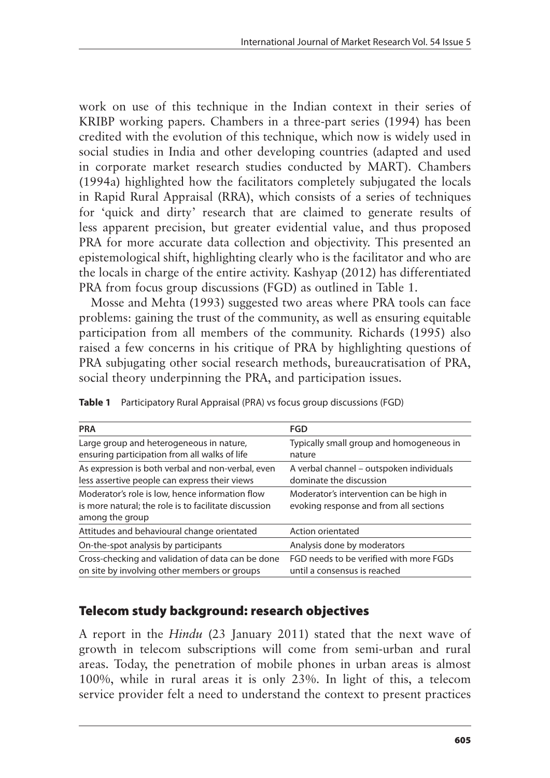work on use of this technique in the Indian context in their series of KRIBP working papers. Chambers in a three-part series (1994) has been credited with the evolution of this technique, which now is widely used in social studies in India and other developing countries (adapted and used in corporate market research studies conducted by MART). Chambers (1994a) highlighted how the facilitators completely subjugated the locals in Rapid Rural Appraisal (RRA), which consists of a series of techniques for 'quick and dirty' research that are claimed to generate results of less apparent precision, but greater evidential value, and thus proposed PRA for more accurate data collection and objectivity. This presented an epistemological shift, highlighting clearly who is the facilitator and who are the locals in charge of the entire activity. Kashyap (2012) has differentiated PRA from focus group discussions (FGD) as outlined in Table 1.

Mosse and Mehta (1993) suggested two areas where PRA tools can face problems: gaining the trust of the community, as well as ensuring equitable participation from all members of the community. Richards (1995) also raised a few concerns in his critique of PRA by highlighting questions of PRA subjugating other social research methods, bureaucratisation of PRA, social theory underpinning the PRA, and participation issues.

| <b>PRA</b>                                                                                                                  | <b>FGD</b>                                                                        |
|-----------------------------------------------------------------------------------------------------------------------------|-----------------------------------------------------------------------------------|
| Large group and heterogeneous in nature,<br>ensuring participation from all walks of life                                   | Typically small group and homogeneous in<br>nature                                |
| As expression is both verbal and non-verbal, even<br>less assertive people can express their views                          | A verbal channel – outspoken individuals<br>dominate the discussion               |
| Moderator's role is low, hence information flow<br>is more natural; the role is to facilitate discussion<br>among the group | Moderator's intervention can be high in<br>evoking response and from all sections |
| Attitudes and behavioural change orientated                                                                                 | Action orientated                                                                 |
| On-the-spot analysis by participants                                                                                        | Analysis done by moderators                                                       |
| Cross-checking and validation of data can be done<br>on site by involving other members or groups                           | FGD needs to be verified with more FGDs<br>until a consensus is reached           |

**Table 1** Participatory Rural Appraisal (PRA) vs focus group discussions (FGD)

# Telecom study background: research objectives

A report in the *Hindu* (23 January 2011) stated that the next wave of growth in telecom subscriptions will come from semi-urban and rural areas. Today, the penetration of mobile phones in urban areas is almost 100%, while in rural areas it is only 23%. In light of this, a telecom service provider felt a need to understand the context to present practices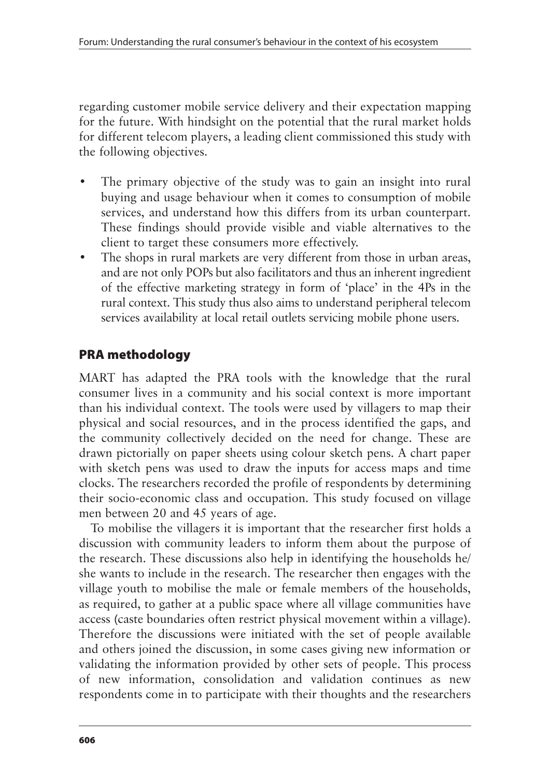regarding customer mobile service delivery and their expectation mapping for the future. With hindsight on the potential that the rural market holds for different telecom players, a leading client commissioned this study with the following objectives.

- The primary objective of the study was to gain an insight into rural buying and usage behaviour when it comes to consumption of mobile services, and understand how this differs from its urban counterpart. These findings should provide visible and viable alternatives to the client to target these consumers more effectively.
- The shops in rural markets are very different from those in urban areas, and are not only POPs but also facilitators and thus an inherent ingredient of the effective marketing strategy in form of 'place' in the 4Ps in the rural context. This study thus also aims to understand peripheral telecom services availability at local retail outlets servicing mobile phone users.

# PRA methodology

MART has adapted the PRA tools with the knowledge that the rural consumer lives in a community and his social context is more important than his individual context. The tools were used by villagers to map their physical and social resources, and in the process identified the gaps, and the community collectively decided on the need for change. These are drawn pictorially on paper sheets using colour sketch pens. A chart paper with sketch pens was used to draw the inputs for access maps and time clocks. The researchers recorded the profile of respondents by determining their socio-economic class and occupation. This study focused on village men between 20 and 45 years of age.

To mobilise the villagers it is important that the researcher first holds a discussion with community leaders to inform them about the purpose of the research. These discussions also help in identifying the households he/ she wants to include in the research. The researcher then engages with the village youth to mobilise the male or female members of the households, as required, to gather at a public space where all village communities have access (caste boundaries often restrict physical movement within a village). Therefore the discussions were initiated with the set of people available and others joined the discussion, in some cases giving new information or validating the information provided by other sets of people. This process of new information, consolidation and validation continues as new respondents come in to participate with their thoughts and the researchers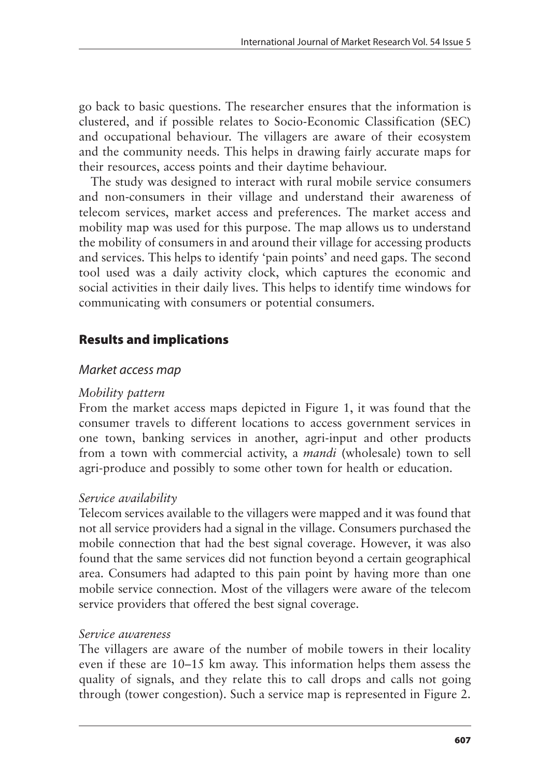go back to basic questions. The researcher ensures that the information is clustered, and if possible relates to Socio-Economic Classification (SEC) and occupational behaviour. The villagers are aware of their ecosystem and the community needs. This helps in drawing fairly accurate maps for their resources, access points and their daytime behaviour.

The study was designed to interact with rural mobile service consumers and non-consumers in their village and understand their awareness of telecom services, market access and preferences. The market access and mobility map was used for this purpose. The map allows us to understand the mobility of consumers in and around their village for accessing products and services. This helps to identify 'pain points' and need gaps. The second tool used was a daily activity clock, which captures the economic and social activities in their daily lives. This helps to identify time windows for communicating with consumers or potential consumers.

# Results and implications

### Market access map

#### *Mobility pattern*

From the market access maps depicted in Figure 1, it was found that the consumer travels to different locations to access government services in one town, banking services in another, agri-input and other products from a town with commercial activity, a *mandi* (wholesale) town to sell agri-produce and possibly to some other town for health or education.

#### *Service availability*

Telecom services available to the villagers were mapped and it was found that not all service providers had a signal in the village. Consumers purchased the mobile connection that had the best signal coverage. However, it was also found that the same services did not function beyond a certain geographical area. Consumers had adapted to this pain point by having more than one mobile service connection. Most of the villagers were aware of the telecom service providers that offered the best signal coverage.

#### *Service awareness*

The villagers are aware of the number of mobile towers in their locality even if these are 10–15 km away. This information helps them assess the quality of signals, and they relate this to call drops and calls not going through (tower congestion). Such a service map is represented in Figure 2.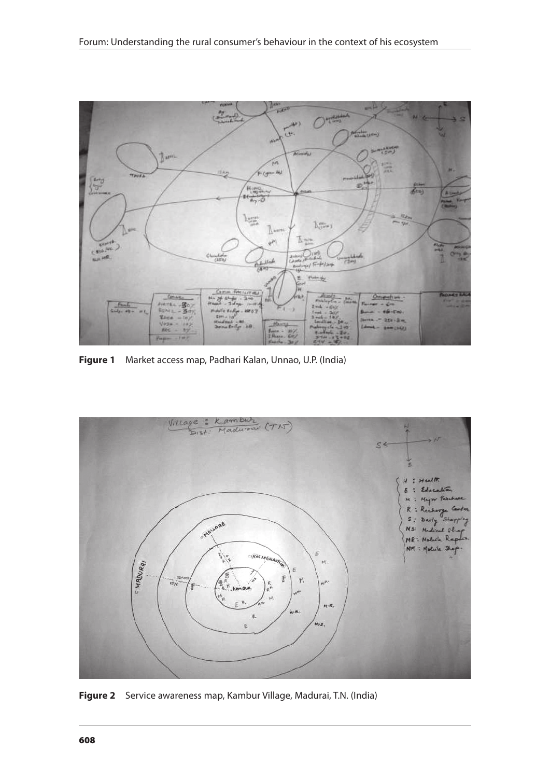

**Figure 1** Market access map, Padhari Kalan, Unnao, U.P. (India)



**Figure 2** Service awareness map, Kambur Village, Madurai, T.N. (India)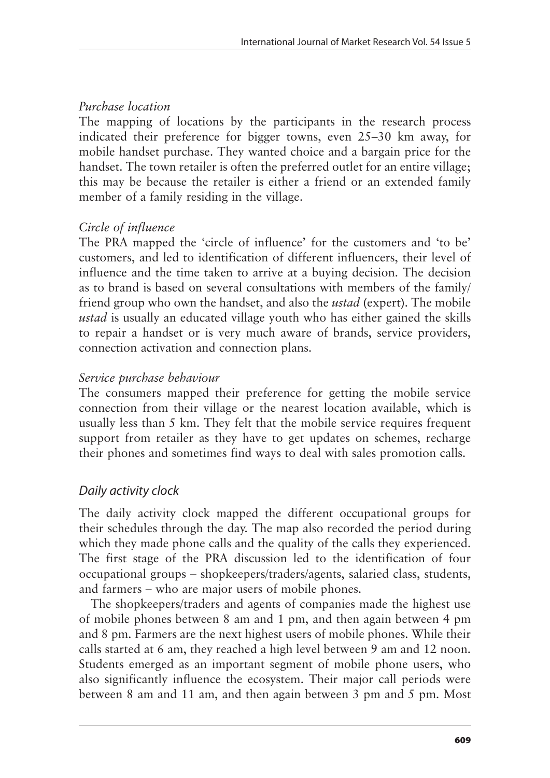### *Purchase location*

The mapping of locations by the participants in the research process indicated their preference for bigger towns, even 25–30 km away, for mobile handset purchase. They wanted choice and a bargain price for the handset. The town retailer is often the preferred outlet for an entire village; this may be because the retailer is either a friend or an extended family member of a family residing in the village.

## *Circle of influence*

The PRA mapped the 'circle of influence' for the customers and 'to be' customers, and led to identification of different influencers, their level of influence and the time taken to arrive at a buying decision. The decision as to brand is based on several consultations with members of the family/ friend group who own the handset, and also the *ustad* (expert). The mobile *ustad* is usually an educated village youth who has either gained the skills to repair a handset or is very much aware of brands, service providers, connection activation and connection plans.

## *Service purchase behaviour*

The consumers mapped their preference for getting the mobile service connection from their village or the nearest location available, which is usually less than 5 km. They felt that the mobile service requires frequent support from retailer as they have to get updates on schemes, recharge their phones and sometimes find ways to deal with sales promotion calls.

# Daily activity clock

The daily activity clock mapped the different occupational groups for their schedules through the day. The map also recorded the period during which they made phone calls and the quality of the calls they experienced. The first stage of the PRA discussion led to the identification of four occupational groups – shopkeepers/traders/agents, salaried class, students, and farmers – who are major users of mobile phones.

The shopkeepers/traders and agents of companies made the highest use of mobile phones between 8 am and 1 pm, and then again between 4 pm and 8 pm. Farmers are the next highest users of mobile phones. While their calls started at 6 am, they reached a high level between 9 am and 12 noon. Students emerged as an important segment of mobile phone users, who also significantly influence the ecosystem. Their major call periods were between 8 am and 11 am, and then again between 3 pm and 5 pm. Most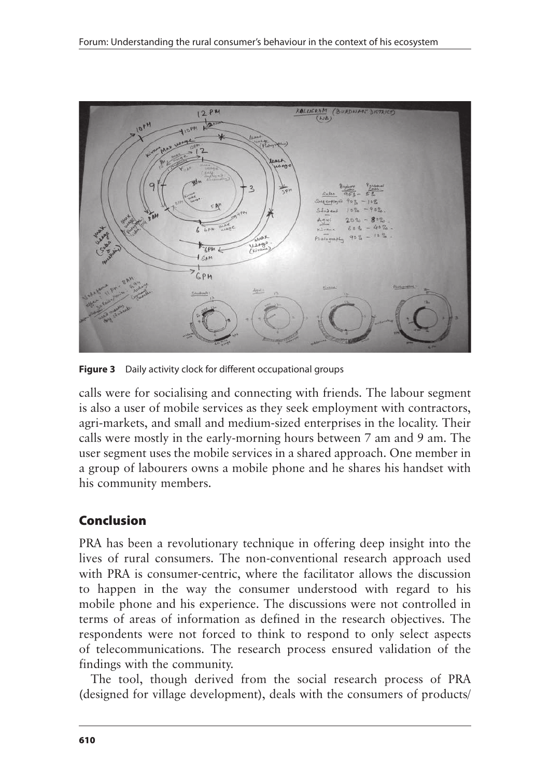

**Figure 3** Daily activity clock for different occupational groups

calls were for socialising and connecting with friends. The labour segment is also a user of mobile services as they seek employment with contractors, agri-markets, and small and medium-sized enterprises in the locality. Their calls were mostly in the early-morning hours between 7 am and 9 am. The user segment uses the mobile services in a shared approach. One member in a group of labourers owns a mobile phone and he shares his handset with his community members.

# Conclusion

PRA has been a revolutionary technique in offering deep insight into the lives of rural consumers. The non-conventional research approach used with PRA is consumer-centric, where the facilitator allows the discussion to happen in the way the consumer understood with regard to his mobile phone and his experience. The discussions were not controlled in terms of areas of information as defined in the research objectives. The respondents were not forced to think to respond to only select aspects of telecommunications. The research process ensured validation of the findings with the community.

The tool, though derived from the social research process of PRA (designed for village development), deals with the consumers of products/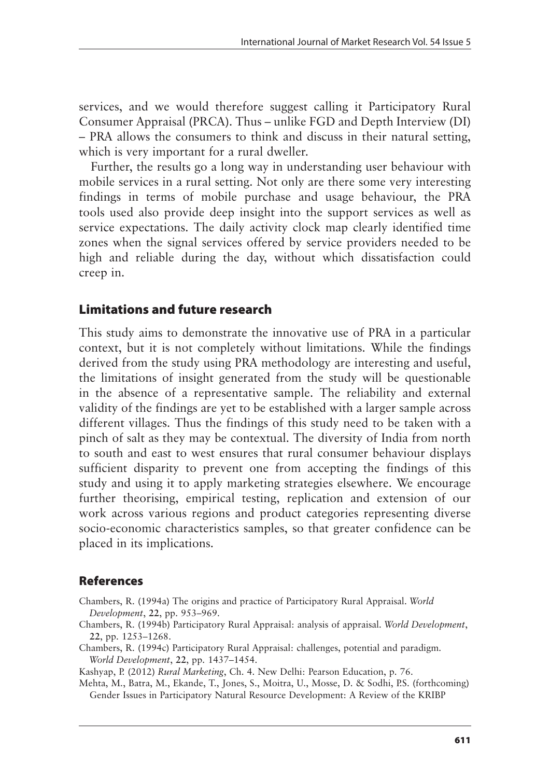services, and we would therefore suggest calling it Participatory Rural Consumer Appraisal (PRCA). Thus – unlike FGD and Depth Interview (DI) – PRA allows the consumers to think and discuss in their natural setting, which is very important for a rural dweller.

Further, the results go a long way in understanding user behaviour with mobile services in a rural setting. Not only are there some very interesting findings in terms of mobile purchase and usage behaviour, the PRA tools used also provide deep insight into the support services as well as service expectations. The daily activity clock map clearly identified time zones when the signal services offered by service providers needed to be high and reliable during the day, without which dissatisfaction could creep in.

## Limitations and future research

This study aims to demonstrate the innovative use of PRA in a particular context, but it is not completely without limitations. While the findings derived from the study using PRA methodology are interesting and useful, the limitations of insight generated from the study will be questionable in the absence of a representative sample. The reliability and external validity of the findings are yet to be established with a larger sample across different villages. Thus the findings of this study need to be taken with a pinch of salt as they may be contextual. The diversity of India from north to south and east to west ensures that rural consumer behaviour displays sufficient disparity to prevent one from accepting the findings of this study and using it to apply marketing strategies elsewhere. We encourage further theorising, empirical testing, replication and extension of our work across various regions and product categories representing diverse socio-economic characteristics samples, so that greater confidence can be placed in its implications.

## References

- Chambers, R. (1994a) The origins and practice of Participatory Rural Appraisal. *World Development*, **22**, pp. 953–969.
- Chambers, R. (1994b) Participatory Rural Appraisal: analysis of appraisal. *World Development*, **22**, pp. 1253–1268.
- Chambers, R. (1994c) Participatory Rural Appraisal: challenges, potential and paradigm. *World Development*, **22**, pp. 1437–1454.

Kashyap, P. (2012) *Rural Marketing*, Ch. 4. New Delhi: Pearson Education, p. 76.

Mehta, M., Batra, M., Ekande, T., Jones, S., Moitra, U., Mosse, D. & Sodhi, P.S. (forthcoming) Gender Issues in Participatory Natural Resource Development: A Review of the KRIBP